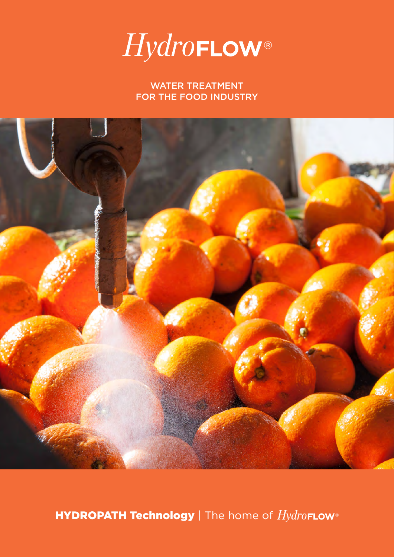

WATER TREATMENT FOR THE FOOD INDUSTRY



HYDROPATH Technology | The home of HydroFLow®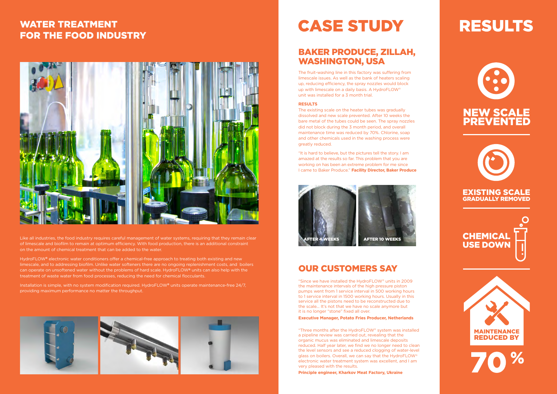

## EXISTING SCALE GRADUALLY REMOVED





Like all industries, the food industry requires careful management of water systems, requiring that they remain clear of limescale and biofilm to remain at optimum efficiency. With food production, there is an additional constraint on the amount of chemical treatment that can be added to the water.

HydroFLOW**®** electronic water conditioners offer a chemical-free approach to treating both existing and new limescale, and to addressing biofilm. Unlike water softeners there are no ongoing replenishment costs, and boilers can operate on unsoftened water without the problems of hard scale. HydroFLOW**®** units can also help with the treatment of waste water from food processes, reducing the need for chemical flocculants.

Installation is simple, with no system modification required. HydroFLOW**®** units operate maintenance-free 24/7, providing maximum performance no matter the throughput.



# **CASE STUDY**

# WATER TREATMENT FOR THE FOOD INDUSTRY



## BAKER PRODUCE, ZILLAH, WASHINGTON, USA

The fruit-washing line in this factory was suffering from limescale issues. As well as the bank of heaters scaling up, reducing efficiency, the spray nozzles would block up with limescale on a daily basis. A HydroFLOW® unit was installed for a 3 month trial.

#### **RESULTS**

The existing scale on the heater tubes was gradually dissolved and new scale prevented. After 10 weeks the bare metal of the tubes could be seen. The spray nozzles did not block during the 3 month period, and overall maintenance time was reduced by 70%. Chlorine, soap and other chemicals used in the washing process were greatly reduced.

"It is hard to believe, but the pictures tell the story. I am amazed at the results so far. This problem that you are working on has been an extreme problem for me since I came to Baker Produce." **Facility Director, Baker Produce**

## OUR CUSTOMERS SAY

"Since we have installed the HydroFLOW® units in 2009 the maintenance intervals of the high pressure piston pumps went from 1 service interval in 500 working hours to 1 service interval in 1500 working hours. Usually in this service all the pistons need to be reconstructed due to the scale… It's not that we have no scale anymore but it is no longer "stone" fixed all over.

#### **Executive Manager, Potato Fries Producer, Netherlands**

"Three months after the HydroFLOW® system was installed a pipeline review was carried out, revealing that the organic mucus was eliminated and limescale deposits reduced. Half year later, we find we no longer need to clean the level sensors and see a reduced clogging of water-level glass on boilers. Overall, we can say that the HydroFLOW® electronic water treatment system was excellent, and I am very pleased with the results.

**Principle engineer, Kharkov Meat Factory, Ukraine**